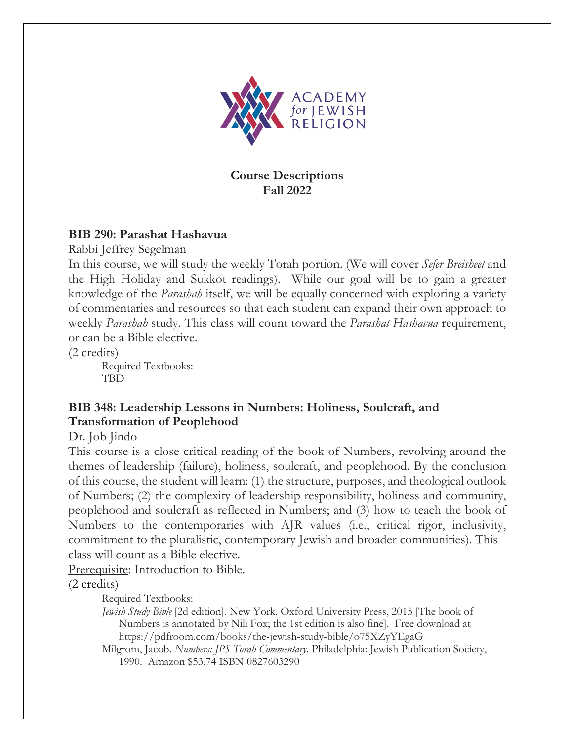

### **Course Descriptions Fall 2022**

### **BIB 290: Parashat Hashavua**

Rabbi Jeffrey Segelman

In this course, we will study the weekly Torah portion. (We will cover *Sefer Breisheet* and the High Holiday and Sukkot readings). While our goal will be to gain a greater knowledge of the *Parashah* itself, we will be equally concerned with exploring a variety of commentaries and resources so that each student can expand their own approach to weekly *Parashah* study. This class will count toward the *Parashat Hashavua* requirement, or can be a Bible elective.

(2 credits)

Required Textbooks: **TBD** 

# **BIB 348: Leadership Lessons in Numbers: Holiness, Soulcraft, and Transformation of Peoplehood**

Dr. Job Jindo

This course is a close critical reading of the book of Numbers, revolving around the themes of leadership (failure), holiness, soulcraft, and peoplehood. By the conclusion of this course, the student will learn: (1) the structure, purposes, and theological outlook of Numbers; (2) the complexity of leadership responsibility, holiness and community, peoplehood and soulcraft as reflected in Numbers; and (3) how to teach the book of Numbers to the contemporaries with AJR values (i.e., critical rigor, inclusivity, commitment to the pluralistic, contemporary Jewish and broader communities). This class will count as a Bible elective.

Prerequisite: Introduction to Bible.

(2 credits)

Required Textbooks:

*Jewish Study Bible* [2d edition]. New York. Oxford University Press, 2015 [The book of Numbers is annotated by Nili Fox; the 1st edition is also fine]. Free download at https://pdfroom.com/books/the-jewish-study-bible/o75XZyYEgaG

Milgrom, Jacob. *Numbers: JPS Torah Commentary*. Philadelphia: Jewish Publication Society, 1990. Amazon \$53.74 ISBN 0827603290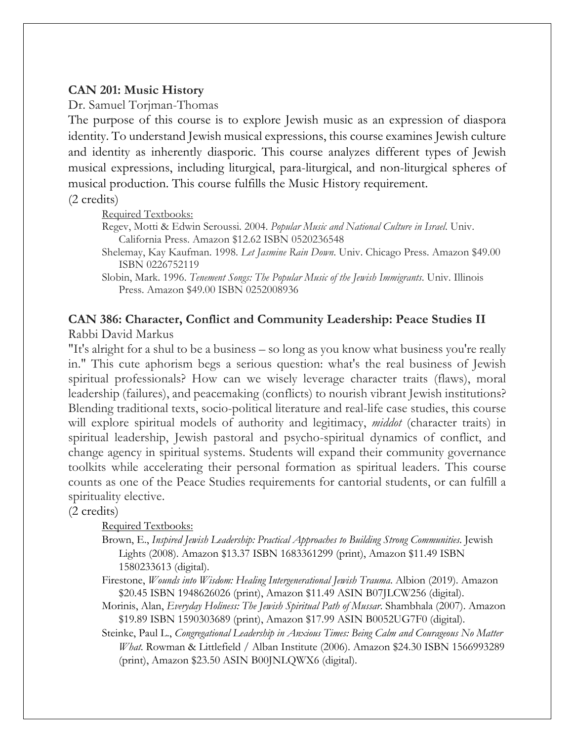### **CAN 201: Music History**

Dr. Samuel Torjman-Thomas

The purpose of this course is to explore Jewish music as an expression of diaspora identity. To understand Jewish musical expressions, this course examines Jewish culture and identity as inherently diasporic. This course analyzes different types of Jewish musical expressions, including liturgical, para-liturgical, and non-liturgical spheres of musical production. This course fulfills the Music History requirement.

(2 credits)

Required Textbooks:

Regev, Motti & Edwin Seroussi. 2004. *Popular Music and National Culture in Israel*. Univ. California Press. Amazon \$12.62 ISBN 0520236548

Shelemay, Kay Kaufman. 1998. *Let Jasmine Rain Down*. Univ. Chicago Press. Amazon \$49.00 ISBN 0226752119

#### **CAN 386: Character, Conflict and Community Leadership: Peace Studies II** Rabbi David Markus

"It's alright for a shul to be a business – so long as you know what business you're really in." This cute aphorism begs a serious question: what's the real business of Jewish spiritual professionals? How can we wisely leverage character traits (flaws), moral leadership (failures), and peacemaking (conflicts) to nourish vibrant Jewish institutions? Blending traditional texts, socio-political literature and real-life case studies, this course will explore spiritual models of authority and legitimacy, *middot* (character traits) in spiritual leadership, Jewish pastoral and psycho-spiritual dynamics of conflict, and change agency in spiritual systems. Students will expand their community governance toolkits while accelerating their personal formation as spiritual leaders. This course counts as one of the Peace Studies requirements for cantorial students, or can fulfill a spirituality elective.

(2 credits)

Required Textbooks:

- Brown, E., *Inspired Jewish Leadership: Practical Approaches to Building Strong Communities*. Jewish Lights (2008). Amazon \$13.37 ISBN 1683361299 (print), Amazon \$11.49 ISBN 1580233613 (digital).
- Firestone, *Wounds into Wisdom: Healing Intergenerational Jewish Trauma*. Albion (2019). Amazon \$20.45 ISBN 1948626026 (print), Amazon \$11.49 ASIN B07JLCW256 (digital).
- Morinis, Alan, *Everyday Holiness: The Jewish Spiritual Path of Mussar*. Shambhala (2007). Amazon \$19.89 ISBN 1590303689 (print), Amazon \$17.99 ASIN B0052UG7F0 (digital).

Steinke, Paul L., *Congregational Leadership in Anxious Times: Being Calm and Courageous No Matter What*. Rowman & Littlefield / Alban Institute (2006). Amazon \$24.30 ISBN 1566993289 (print), Amazon \$23.50 ASIN B00JNLQWX6 (digital).

Slobin, Mark. 1996. *Tenement Songs: The Popular Music of the Jewish Immigrants*. Univ. Illinois Press. Amazon \$49.00 ISBN 0252008936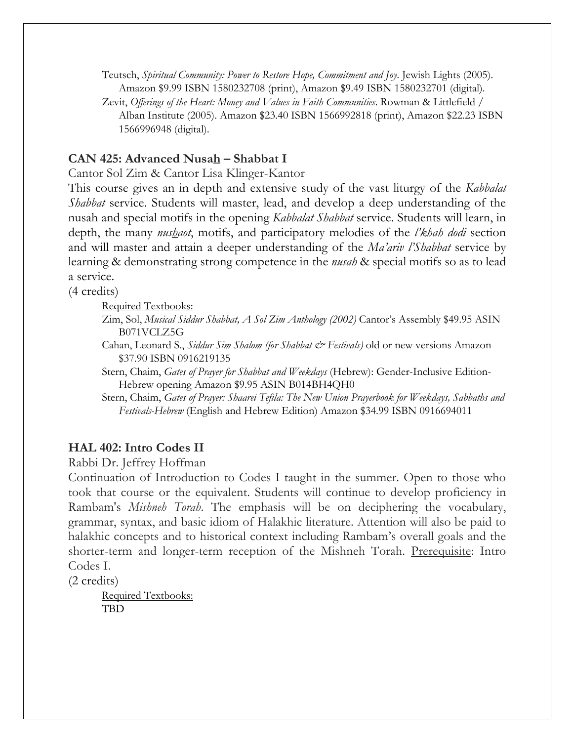Teutsch, *Spiritual Community: Power to Restore Hope, Commitment and Joy*. Jewish Lights (2005). Amazon \$9.99 ISBN 1580232708 (print), Amazon \$9.49 ISBN 1580232701 (digital).

Zevit, *Offerings of the Heart: Money and Values in Faith Communities*. Rowman & Littlefield / Alban Institute (2005). Amazon \$23.40 ISBN 1566992818 (print), Amazon \$22.23 ISBN 1566996948 (digital).

### **CAN 425: Advanced Nusah – Shabbat I**

Cantor Sol Zim & Cantor Lisa Klinger-Kantor

This course gives an in depth and extensive study of the vast liturgy of the *Kabbalat Shabbat* service. Students will master, lead, and develop a deep understanding of the nusah and special motifs in the opening *Kabbalat Shabbat* service. Students will learn, in depth, the many *nushaot*, motifs, and participatory melodies of the *l'khah dodi* section and will master and attain a deeper understanding of the *Ma'ariv l'Shabbat* service by learning & demonstrating strong competence in the *nusah* & special motifs so as to lead a service.

(4 credits)

Required Textbooks:

- Zim, Sol, *Musical Siddur Shabbat, A Sol Zim Anthology (2002)* Cantor's Assembly \$49.95 ASIN B071VCLZ5G
- Cahan, Leonard S., *Siddur Sim Shalom (for Shabbat & Festivals)* old or new versions Amazon \$37.90 ISBN 0916219135
- Stern, Chaim, *Gates of Prayer for Shabbat and Weekdays* (Hebrew): Gender-Inclusive Edition-Hebrew opening Amazon \$9.95 ASIN B014BH4QH0

Stern, Chaim, *Gates of Prayer: Shaarei Tefila: The New Union Prayerbook for Weekdays, Sabbaths and Festivals-Hebrew* (English and Hebrew Edition) Amazon \$34.99 ISBN 0916694011

### **HAL 402: Intro Codes II**

Rabbi Dr. Jeffrey Hoffman

Continuation of Introduction to Codes I taught in the summer. Open to those who took that course or the equivalent. Students will continue to develop proficiency in Rambam's *Mishneh Torah*. The emphasis will be on deciphering the vocabulary, grammar, syntax, and basic idiom of Halakhic literature. Attention will also be paid to halakhic concepts and to historical context including Rambam's overall goals and the shorter-term and longer-term reception of the Mishneh Torah. Prerequisite: Intro Codes I.

(2 credits)

Required Textbooks: TBD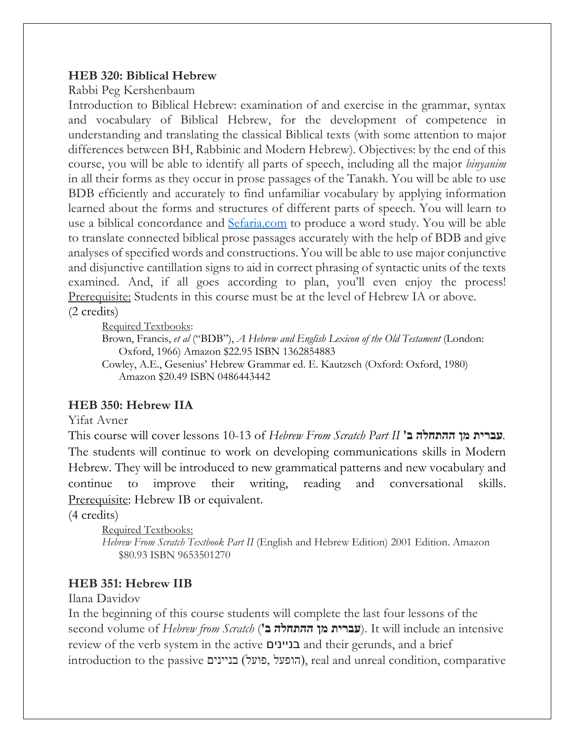### **HEB 320: Biblical Hebrew**

Rabbi Peg Kershenbaum

Introduction to Biblical Hebrew: examination of and exercise in the grammar, syntax and vocabulary of Biblical Hebrew, for the development of competence in understanding and translating the classical Biblical texts (with some attention to major differences between BH, Rabbinic and Modern Hebrew). Objectives: by the end of this course, you will be able to identify all parts of speech, including all the major *binyanim* in all their forms as they occur in prose passages of the Tanakh. You will be able to use BDB efficiently and accurately to find unfamiliar vocabulary by applying information learned about the forms and structures of different parts of speech. You will learn to use a biblical concordance and Sefaria.com to produce a word study. You will be able to translate connected biblical prose passages accurately with the help of BDB and give analyses of specified words and constructions. You will be able to use major conjunctive and disjunctive cantillation signs to aid in correct phrasing of syntactic units of the texts examined. And, if all goes according to plan, you'll even enjoy the process! Prerequisite: Students in this course must be at the level of Hebrew IA or above.

(2 credits)

Required Textbooks:

Brown, Francis, *et al* ("BDB"), *A Hebrew and English Lexicon of the Old Testament* (London: Oxford, 1966) Amazon \$22.95 ISBN 1362854883

Cowley, A.E., Gesenius' Hebrew Grammar ed. E. Kautzsch (Oxford: Oxford, 1980) Amazon \$20.49 ISBN 0486443442

# **HEB 350: Hebrew IIA**

Yifat Avner

This course will cover lessons 10-13 of *Hebrew From Scratch Part II* **תירבע ןמ הלחתהה ב '***.* The students will continue to work on developing communications skills in Modern Hebrew. They will be introduced to new grammatical patterns and new vocabulary and continue to improve their writing, reading and conversational skills. Prerequisite: Hebrew IB or equivalent.

(4 credits)

Required Textbooks: *Hebrew From Scratch Textbook Part II* (English and Hebrew Edition) 2001 Edition. Amazon \$80.93 ISBN 9653501270

# **HEB 351: Hebrew IIB**

Ilana Davidov

In the beginning of this course students will complete the last four lessons of the second volume of *Hebrew from Scratch* ( **תירבע ןמ הלחתהה ב**( **'**. It will include an intensive review of the verb system in the active םיניינב and their gerunds, and a brief introduction to the passive בניינים, להופעל, לפועל), real and unreal condition, comparative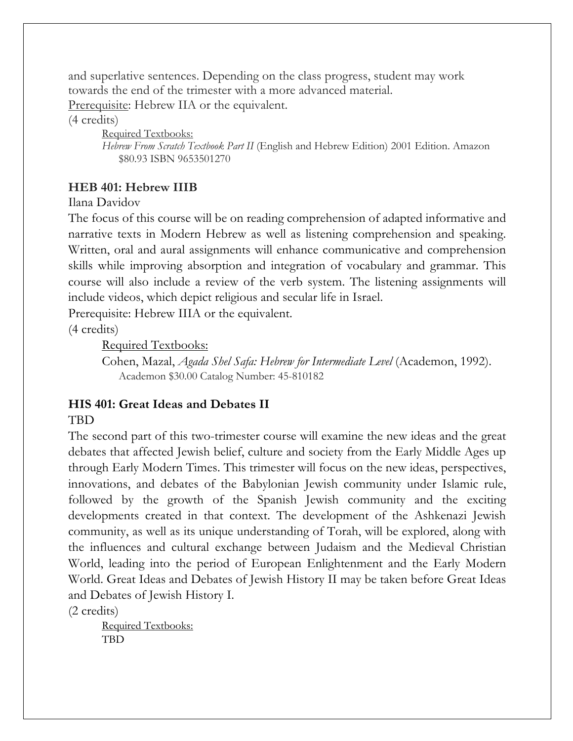and superlative sentences. Depending on the class progress, student may work towards the end of the trimester with a more advanced material.

Prerequisite: Hebrew IIA or the equivalent.

#### (4 credits)

Required Textbooks: *Hebrew From Scratch Textbook Part II* (English and Hebrew Edition) 2001 Edition. Amazon \$80.93 ISBN 9653501270

### **HEB 401: Hebrew IIIB**

#### Ilana Davidov

The focus of this course will be on reading comprehension of adapted informative and narrative texts in Modern Hebrew as well as listening comprehension and speaking. Written, oral and aural assignments will enhance communicative and comprehension skills while improving absorption and integration of vocabulary and grammar. This course will also include a review of the verb system. The listening assignments will include videos, which depict religious and secular life in Israel.

Prerequisite: Hebrew IIIA or the equivalent.

(4 credits)

Required Textbooks:

Cohen, Mazal, *Agada Shel Safa: Hebrew for Intermediate Level* (Academon, 1992). Academon \$30.00 Catalog Number: 45-810182

# **HIS 401: Great Ideas and Debates II**

### **TBD**

The second part of this two-trimester course will examine the new ideas and the great debates that affected Jewish belief, culture and society from the Early Middle Ages up through Early Modern Times. This trimester will focus on the new ideas, perspectives, innovations, and debates of the Babylonian Jewish community under Islamic rule, followed by the growth of the Spanish Jewish community and the exciting developments created in that context. The development of the Ashkenazi Jewish community, as well as its unique understanding of Torah, will be explored, along with the influences and cultural exchange between Judaism and the Medieval Christian World, leading into the period of European Enlightenment and the Early Modern World. Great Ideas and Debates of Jewish History II may be taken before Great Ideas and Debates of Jewish History I.

(2 credits)

Required Textbooks: TBD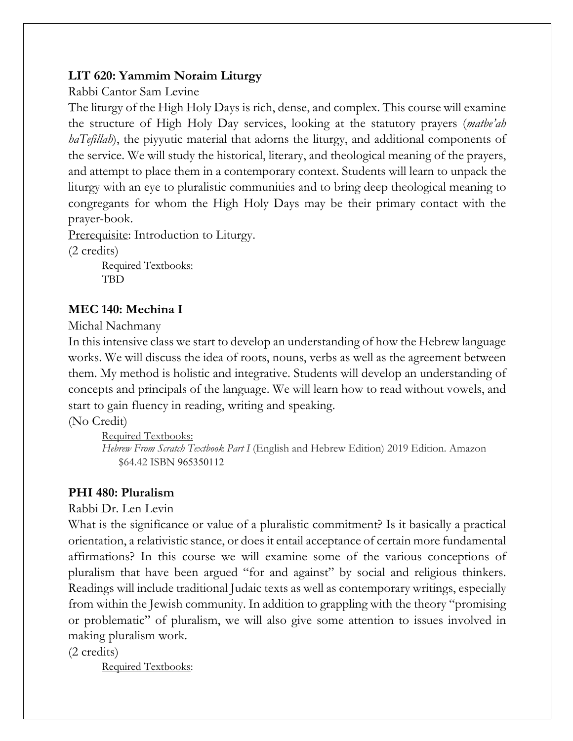# **LIT 620: Yammim Noraim Liturgy**

Rabbi Cantor Sam Levine

The liturgy of the High Holy Days is rich, dense, and complex. This course will examine the structure of High Holy Day services, looking at the statutory prayers (*matbe'ah haTefillah*), the piyyutic material that adorns the liturgy, and additional components of the service. We will study the historical, literary, and theological meaning of the prayers, and attempt to place them in a contemporary context. Students will learn to unpack the liturgy with an eye to pluralistic communities and to bring deep theological meaning to congregants for whom the High Holy Days may be their primary contact with the prayer-book.

Prerequisite: Introduction to Liturgy.

(2 credits)

Required Textbooks: TBD

# **MEC 140: Mechina I**

Michal Nachmany

In this intensive class we start to develop an understanding of how the Hebrew language works. We will discuss the idea of roots, nouns, verbs as well as the agreement between them. My method is holistic and integrative. Students will develop an understanding of concepts and principals of the language. We will learn how to read without vowels, and start to gain fluency in reading, writing and speaking.

(No Credit)

Required Textbooks: *Hebrew From Scratch Textbook Part I* (English and Hebrew Edition) 2019 Edition. Amazon \$64.42 ISBN 965350112

# **PHI 480: Pluralism**

Rabbi Dr. Len Levin

What is the significance or value of a pluralistic commitment? Is it basically a practical orientation, a relativistic stance, or does it entail acceptance of certain more fundamental affirmations? In this course we will examine some of the various conceptions of pluralism that have been argued "for and against" by social and religious thinkers. Readings will include traditional Judaic texts as well as contemporary writings, especially from within the Jewish community. In addition to grappling with the theory "promising or problematic" of pluralism, we will also give some attention to issues involved in making pluralism work.

(2 credits)

Required Textbooks: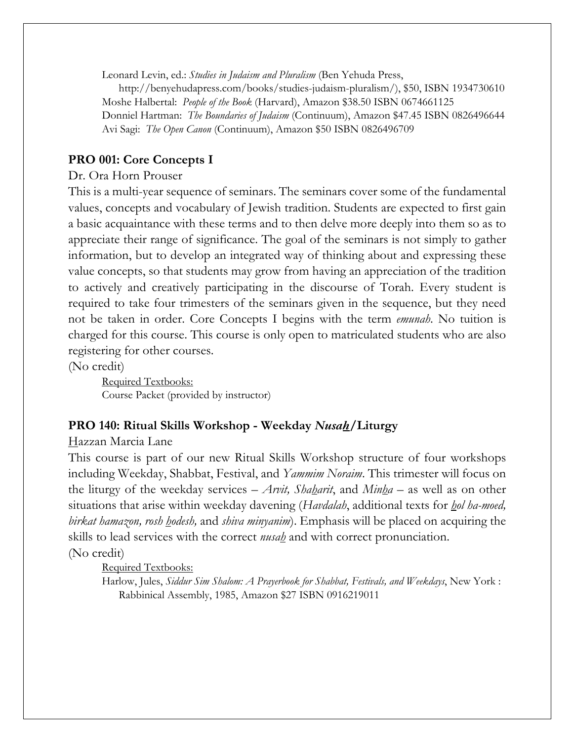Leonard Levin, ed.: *Studies in Judaism and Pluralism* (Ben Yehuda Press,

http://benyehudapress.com/books/studies-judaism-pluralism/), \$50, ISBN 1934730610 Moshe Halbertal: *People of the Book* (Harvard), Amazon \$38.50 ISBN 0674661125 Donniel Hartman: *The Boundaries of Judaism* (Continuum), Amazon \$47.45 ISBN 0826496644 Avi Sagi: *The Open Canon* (Continuum), Amazon \$50 ISBN 0826496709

# **PRO 001: Core Concepts I**

### Dr. Ora Horn Prouser

This is a multi-year sequence of seminars. The seminars cover some of the fundamental values, concepts and vocabulary of Jewish tradition. Students are expected to first gain a basic acquaintance with these terms and to then delve more deeply into them so as to appreciate their range of significance. The goal of the seminars is not simply to gather information, but to develop an integrated way of thinking about and expressing these value concepts, so that students may grow from having an appreciation of the tradition to actively and creatively participating in the discourse of Torah. Every student is required to take four trimesters of the seminars given in the sequence, but they need not be taken in order. Core Concepts I begins with the term *emunah*. No tuition is charged for this course. This course is only open to matriculated students who are also registering for other courses.

(No credit)

Required Textbooks: Course Packet (provided by instructor)

# **PRO 140: Ritual Skills Workshop - Weekday** *Nusah***/Liturgy**

Hazzan Marcia Lane

This course is part of our new Ritual Skills Workshop structure of four workshops including Weekday, Shabbat, Festival, and *Yammim Noraim*. This trimester will focus on the liturgy of the weekday services – *Arvit, Shaharit*, and *Minha* – as well as on other situations that arise within weekday davening (*Havdalah*, additional texts for *hol ha-moed, birkat hamazon, rosh hodesh,* and *shiva minyanim*). Emphasis will be placed on acquiring the skills to lead services with the correct *nusah* and with correct pronunciation.

(No credit)

Required Textbooks:

Harlow, Jules, *Siddur Sim Shalom: A Prayerbook for Shabbat, Festivals, and Weekdays*, New York : Rabbinical Assembly, 1985, Amazon \$27 ISBN 0916219011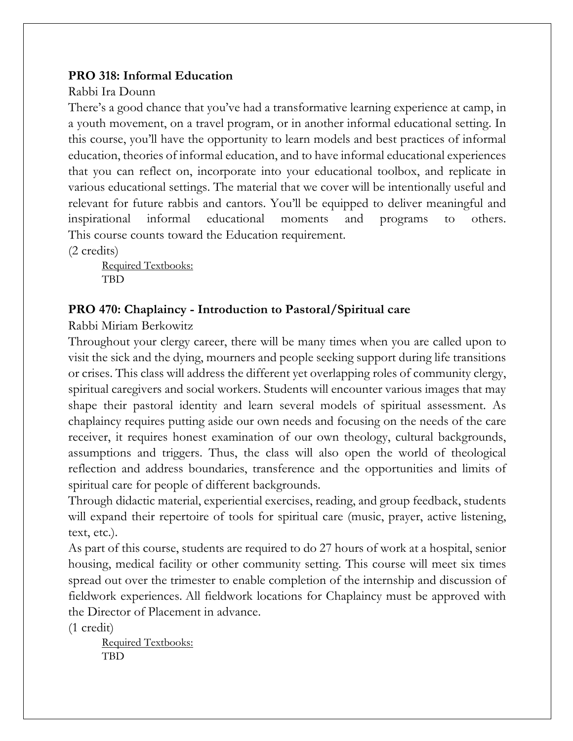### **PRO 318: Informal Education**

### Rabbi Ira Dounn

There's a good chance that you've had a transformative learning experience at camp, in a youth movement, on a travel program, or in another informal educational setting. In this course, you'll have the opportunity to learn models and best practices of informal education, theories of informal education, and to have informal educational experiences that you can reflect on, incorporate into your educational toolbox, and replicate in various educational settings. The material that we cover will be intentionally useful and relevant for future rabbis and cantors. You'll be equipped to deliver meaningful and inspirational informal educational moments and programs to others. This course counts toward the Education requirement.

(2 credits)

Required Textbooks: TBD

# **PRO 470: Chaplaincy - Introduction to Pastoral/Spiritual care**

Rabbi Miriam Berkowitz

Throughout your clergy career, there will be many times when you are called upon to visit the sick and the dying, mourners and people seeking support during life transitions or crises. This class will address the different yet overlapping roles of community clergy, spiritual caregivers and social workers. Students will encounter various images that may shape their pastoral identity and learn several models of spiritual assessment. As chaplaincy requires putting aside our own needs and focusing on the needs of the care receiver, it requires honest examination of our own theology, cultural backgrounds, assumptions and triggers. Thus, the class will also open the world of theological reflection and address boundaries, transference and the opportunities and limits of spiritual care for people of different backgrounds.

Through didactic material, experiential exercises, reading, and group feedback, students will expand their repertoire of tools for spiritual care (music, prayer, active listening, text, etc.).

As part of this course, students are required to do 27 hours of work at a hospital, senior housing, medical facility or other community setting. This course will meet six times spread out over the trimester to enable completion of the internship and discussion of fieldwork experiences. All fieldwork locations for Chaplaincy must be approved with the Director of Placement in advance.

(1 credit)

Required Textbooks: **TBD**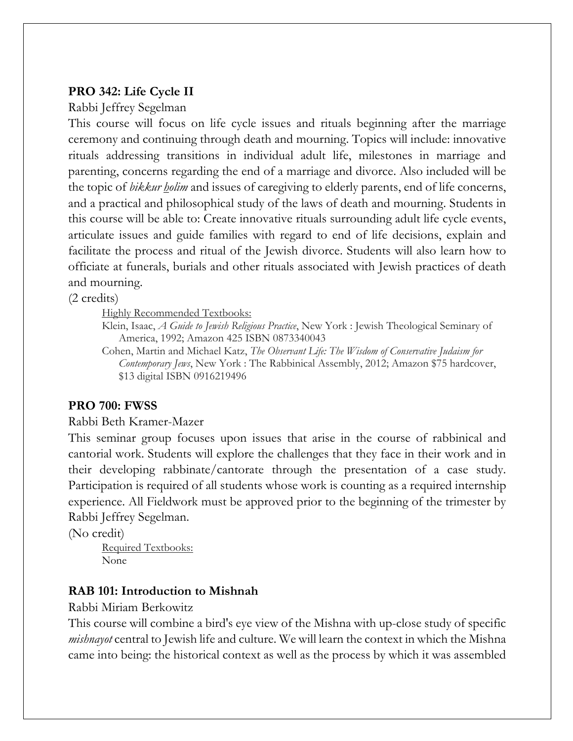### **PRO 342: Life Cycle II**

#### Rabbi Jeffrey Segelman

This course will focus on life cycle issues and rituals beginning after the marriage ceremony and continuing through death and mourning. Topics will include: innovative rituals addressing transitions in individual adult life, milestones in marriage and parenting, concerns regarding the end of a marriage and divorce. Also included will be the topic of *bikkur holim* and issues of caregiving to elderly parents, end of life concerns, and a practical and philosophical study of the laws of death and mourning. Students in this course will be able to: Create innovative rituals surrounding adult life cycle events, articulate issues and guide families with regard to end of life decisions, explain and facilitate the process and ritual of the Jewish divorce. Students will also learn how to officiate at funerals, burials and other rituals associated with Jewish practices of death and mourning.

(2 credits)

Highly Recommended Textbooks:

Klein, Isaac, *A Guide to Jewish Religious Practice*, New York : Jewish Theological Seminary of America, 1992; Amazon 425 ISBN 0873340043

Cohen, Martin and Michael Katz, *The Observant Life: The Wisdom of Conservative Judaism for Contemporary Jews*, New York : The Rabbinical Assembly, 2012; Amazon \$75 hardcover, \$13 digital ISBN 0916219496

### **PRO 700: FWSS**

#### Rabbi Beth Kramer-Mazer

This seminar group focuses upon issues that arise in the course of rabbinical and cantorial work. Students will explore the challenges that they face in their work and in their developing rabbinate/cantorate through the presentation of a case study. Participation is required of all students whose work is counting as a required internship experience. All Fieldwork must be approved prior to the beginning of the trimester by Rabbi Jeffrey Segelman.

(No credit)

Required Textbooks: None

# **RAB 101: Introduction to Mishnah**

Rabbi Miriam Berkowitz

This course will combine a bird's eye view of the Mishna with up-close study of specific *mishnayot* central to Jewish life and culture. We will learn the context in which the Mishna came into being: the historical context as well as the process by which it was assembled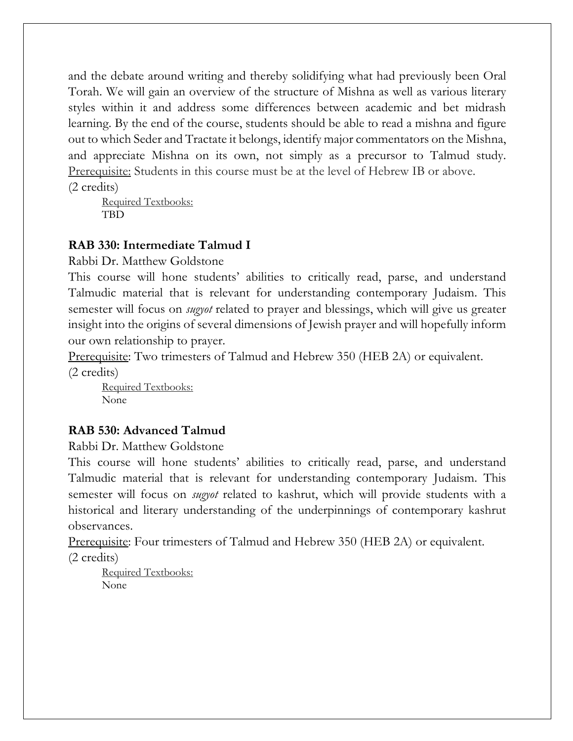and the debate around writing and thereby solidifying what had previously been Oral Torah. We will gain an overview of the structure of Mishna as well as various literary styles within it and address some differences between academic and bet midrash learning. By the end of the course, students should be able to read a mishna and figure out to which Seder and Tractate it belongs, identify major commentators on the Mishna, and appreciate Mishna on its own, not simply as a precursor to Talmud study. Prerequisite: Students in this course must be at the level of Hebrew IB or above. (2 credits)

Required Textbooks: TBD

### **RAB 330: Intermediate Talmud I**

Rabbi Dr. Matthew Goldstone

This course will hone students' abilities to critically read, parse, and understand Talmudic material that is relevant for understanding contemporary Judaism. This semester will focus on *sugyot* related to prayer and blessings, which will give us greater insight into the origins of several dimensions of Jewish prayer and will hopefully inform our own relationship to prayer.

Prerequisite: Two trimesters of Talmud and Hebrew 350 (HEB 2A) or equivalent. (2 credits)

Required Textbooks: None

# **RAB 530: Advanced Talmud**

Rabbi Dr. Matthew Goldstone

This course will hone students' abilities to critically read, parse, and understand Talmudic material that is relevant for understanding contemporary Judaism. This semester will focus on *sugyot* related to kashrut, which will provide students with a historical and literary understanding of the underpinnings of contemporary kashrut observances.

Prerequisite: Four trimesters of Talmud and Hebrew 350 (HEB 2A) or equivalent. (2 credits)

Required Textbooks: None